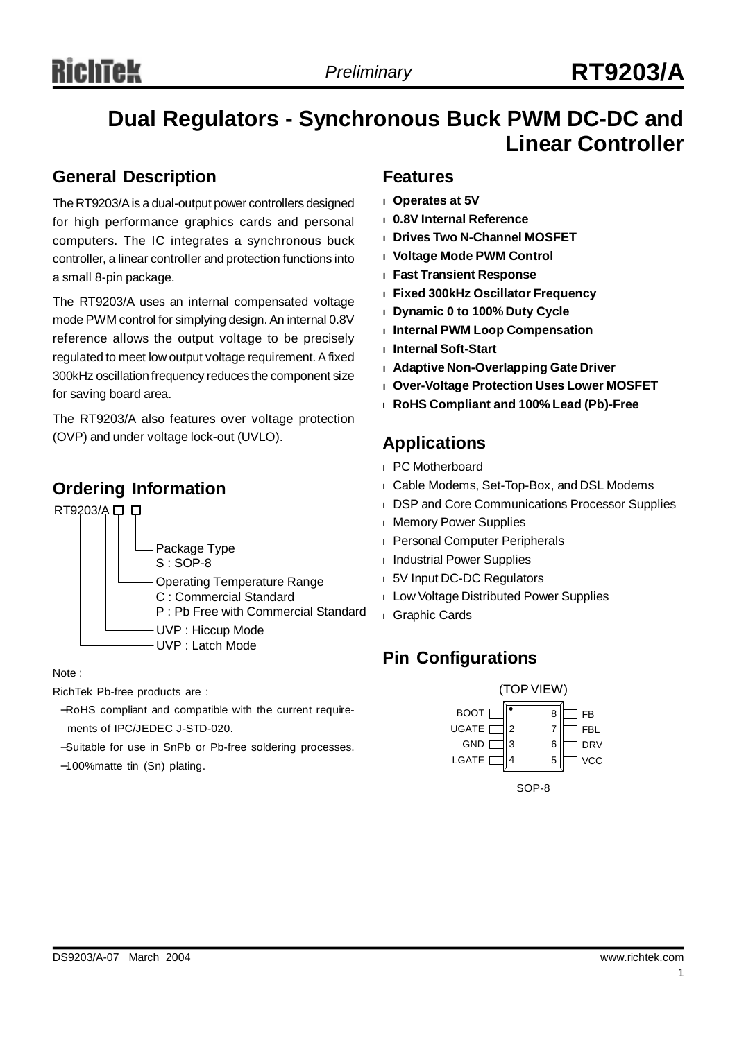## **Dual Regulators - Synchronous Buck PWM DC-DC and Linear Controller**

### **General Description**

The RT9203/Ais a dual-output power controllers designed for high performance graphics cards and personal computers. The IC integrates a synchronous buck controller, a linear controller and protection functions into a small 8-pin package.

The RT9203/A uses an internal compensated voltage mode PWM control for simplying design.An internal 0.8V reference allows the output voltage to be precisely regulated to meet low output voltage requirement.Afixed 300kHz oscillation frequency reduces the component size for saving board area.

The RT9203/A also features over voltage protection (OVP) and under voltage lock-out (UVLO).

## **Ordering Information**



#### Note :

RichTek Pb-free products are :

- −RoHS compliant and compatible with the current requirements of IPC/JEDEC J-STD-020.
- −Suitable for use in SnPb or Pb-free soldering processes.
- −100%matte tin (Sn) plating.

### **Features**

- **<sup>l</sup> Operates at 5V**
- **<sup>l</sup> 0.8V Internal Reference**
- **<sup>l</sup> Drives Two N-Channel MOSFET**
- **<sup>l</sup> Voltage Mode PWM Control**
- **<sup>l</sup> Fast Transient Response**
- **<sup>l</sup> Fixed 300kHz Oscillator Frequency**
- **<sup>l</sup> Dynamic 0 to 100% Duty Cycle**
- **<sup>l</sup> Internal PWM Loop Compensation**
- **<sup>l</sup> Internal Soft-Start**
- **<sup>l</sup> Adaptive Non-Overlapping Gate Driver**
- **<sup>l</sup> Over-Voltage Protection Uses Lower MOSFET**
- **<sup>l</sup> RoHS Compliant and 100% Lead (Pb)-Free**

## **Applications**

- <sup>l</sup> PC Motherboard
- <sup>l</sup> Cable Modems, Set-Top-Box, and DSL Modems
- <sup>l</sup> DSP and Core Communications Processor Supplies
- <sup>l</sup> Memory Power Supplies
- <sup>l</sup> Personal Computer Peripherals
- <sup>l</sup> Industrial Power Supplies
- <sup>l</sup> 5V Input DC-DC Regulators
- <sup>l</sup> Low Voltage Distributed Power Supplies
- <sup>l</sup> Graphic Cards

## **Pin Configurations**

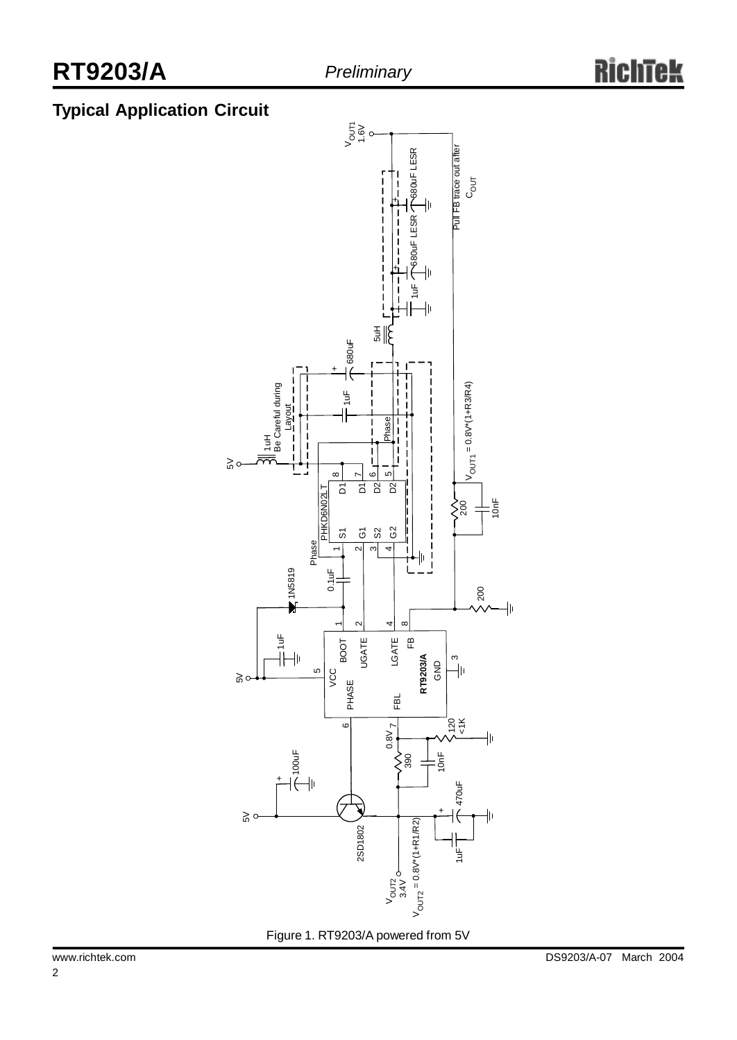## **Typical Application Circuit**

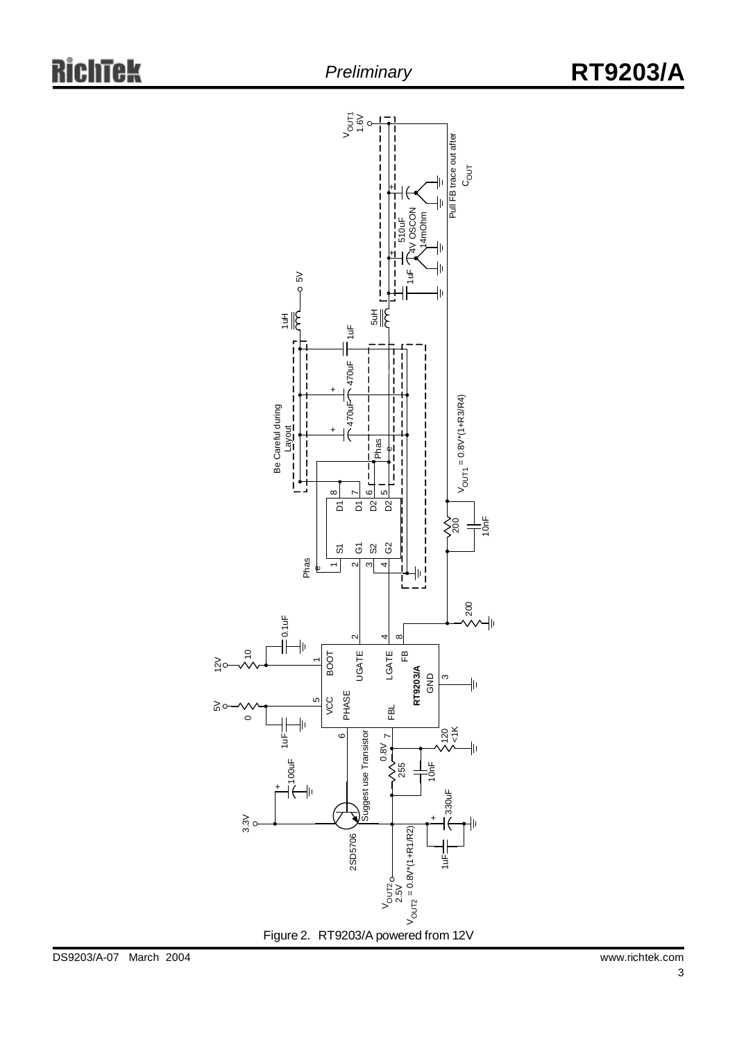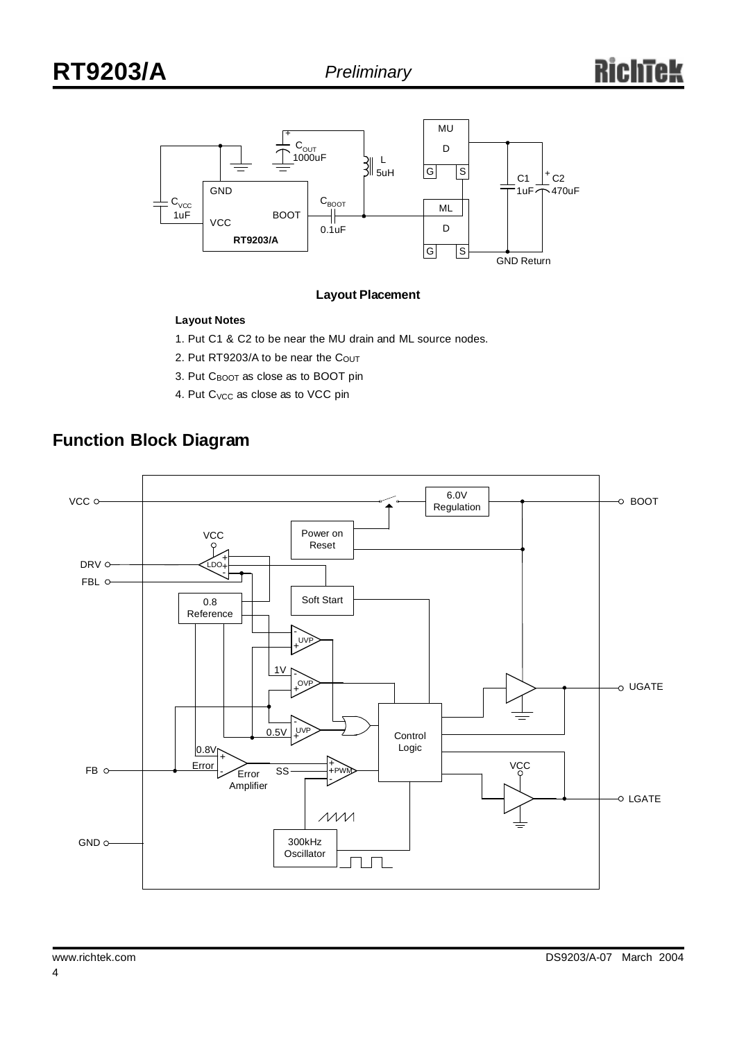

#### **Layout Placement**

### **Layout Notes**

1. Put C1 & C2 to be near the MU drain and ML source nodes.

- 2. Put RT9203/A to be near the Cout
- 3. Put CBOOT as close as to BOOT pin
- 4. Put C<sub>VCC</sub> as close as to VCC pin

## **Function Block Diagram**

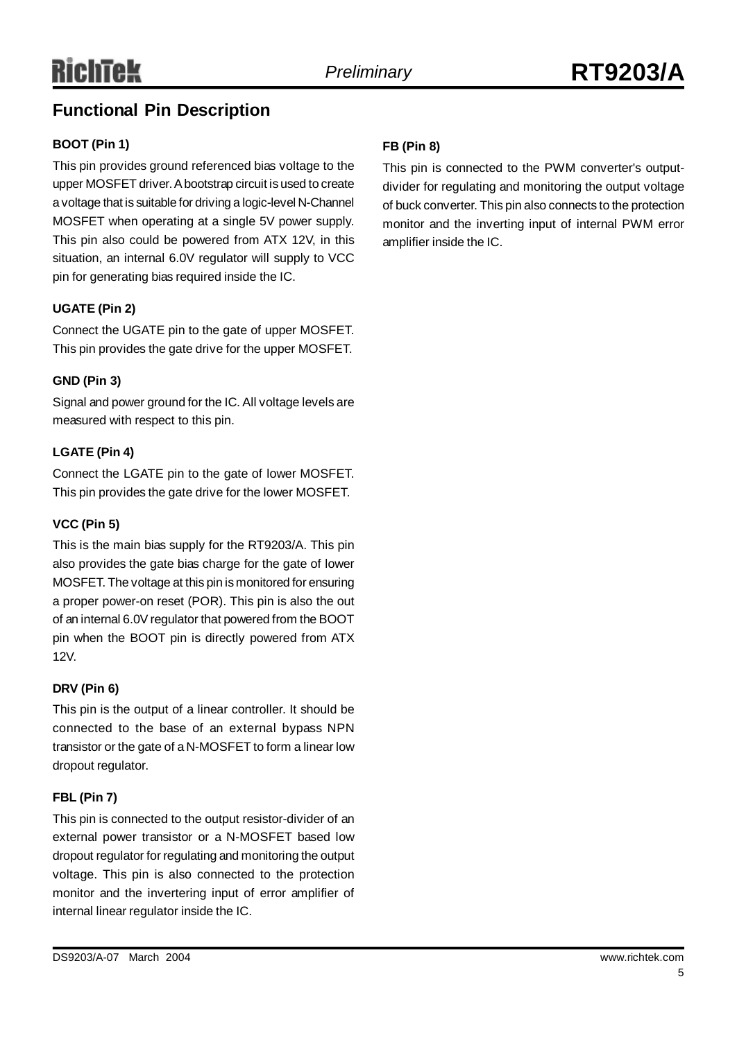## **Functional Pin Description**

### **BOOT (Pin 1)**

This pin provides ground referenced bias voltage to the upper MOSFET driver.Abootstrap circuit is used to create a voltage that is suitable for driving a logic-level N-Channel MOSFET when operating at a single 5V power supply. This pin also could be powered from ATX 12V, in this situation, an internal 6.0V regulator will supply to VCC pin for generating bias required inside the IC.

### **UGATE (Pin 2)**

Connect the UGATE pin to the gate of upper MOSFET. This pin provides the gate drive for the upper MOSFET.

### **GND (Pin 3)**

Signal and power ground for the IC. All voltage levels are measured with respect to this pin.

### **LGATE (Pin 4)**

Connect the LGATE pin to the gate of lower MOSFET. This pin provides the gate drive for the lower MOSFET.

### **VCC (Pin 5)**

This is the main bias supply for the RT9203/A. This pin also provides the gate bias charge for the gate of lower MOSFET. The voltage at this pin is monitored for ensuring a proper power-on reset (POR). This pin is also the out of an internal 6.0V regulator that powered from the BOOT pin when the BOOT pin is directly powered from ATX 12V.

### **DRV (Pin 6)**

This pin is the output of a linear controller. It should be connected to the base of an external bypass NPN transistor or the gate of a N-MOSFET to form a linear low dropout regulator.

### **FBL (Pin 7)**

This pin is connected to the output resistor-divider of an external power transistor or a N-MOSFET based low dropout regulator for regulating and monitoring the output voltage. This pin is also connected to the protection monitor and the invertering input of error amplifier of internal linear regulator inside the IC.

### **FB (Pin 8)**

This pin is connected to the PWM converter's outputdivider for regulating and monitoring the output voltage of buck converter. This pin also connects to the protection monitor and the inverting input of internal PWM error amplifier inside the IC.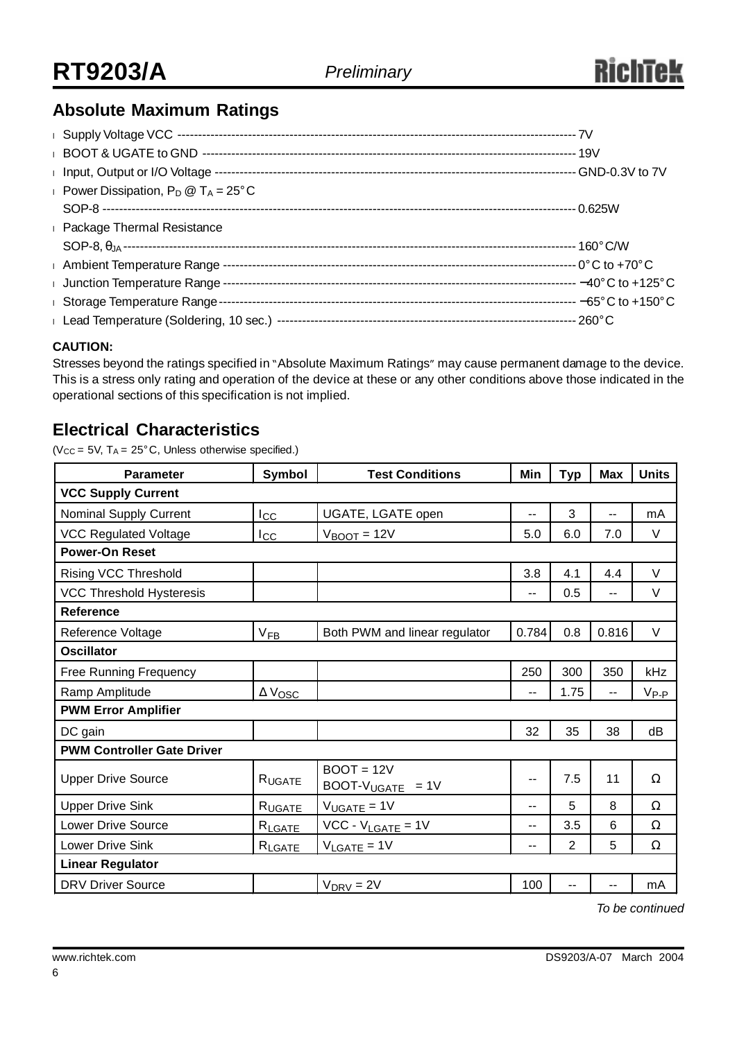## **Absolute Maximum Ratings**

| Power Dissipation, $P_D @ T_A = 25^\circ C$ |  |
|---------------------------------------------|--|
|                                             |  |
| <b>Example 7 Package Thermal Resistance</b> |  |
|                                             |  |
|                                             |  |
|                                             |  |
| I Storage Temperature Range-                |  |
|                                             |  |

### **CAUTION:**

Stresses beyond the ratings specified in "Absolute Maximum Ratings" may cause permanent damage to the device. This is a stress only rating and operation of the device at these or any other conditions above those indicated in the operational sections of this specification is not implied.

### **Electrical Characteristics**

( $V_{CC}$  = 5V, T<sub>A</sub> = 25°C, Unless otherwise specified.)

| <b>Parameter</b>                  | Symbol<br><b>Test Conditions</b>             |                               | Min   | <b>Typ</b>     | <b>Max</b> | <b>Units</b> |  |  |
|-----------------------------------|----------------------------------------------|-------------------------------|-------|----------------|------------|--------------|--|--|
| <b>VCC Supply Current</b>         |                                              |                               |       |                |            |              |  |  |
| Nominal Supply Current            | $I_{\rm CC}$                                 | UGATE, LGATE open             |       | 3              | $-$        | mA           |  |  |
| <b>VCC Regulated Voltage</b>      | $I_{\rm CC}$                                 | $V_{\text{BOOT}} = 12V$       | 5.0   | 6.0            | 7.0        | $\vee$       |  |  |
| <b>Power-On Reset</b>             |                                              |                               |       |                |            |              |  |  |
| <b>Rising VCC Threshold</b>       |                                              |                               | 3.8   | 4.1            | 4.4        | $\vee$       |  |  |
| <b>VCC Threshold Hysteresis</b>   |                                              |                               | --    | 0.5            | $-$        | $\vee$       |  |  |
| Reference                         |                                              |                               |       |                |            |              |  |  |
| Reference Voltage                 | $V_{FB}$                                     | Both PWM and linear regulator | 0.784 | 0.8            | 0.816      | $\vee$       |  |  |
| <b>Oscillator</b>                 |                                              |                               |       |                |            |              |  |  |
| <b>Free Running Frequency</b>     |                                              |                               | 250   | 300            | 350        | kHz          |  |  |
| Ramp Amplitude                    | $\Delta$ Vosc                                |                               | --    | 1.75           |            | $V_{P-P}$    |  |  |
| <b>PWM Error Amplifier</b>        |                                              |                               |       |                |            |              |  |  |
| DC gain                           |                                              |                               | 32    | 35             | 38         | dB           |  |  |
| <b>PWM Controller Gate Driver</b> |                                              |                               |       |                |            |              |  |  |
| <b>Upper Drive Source</b>         | $BOOT = 12V$<br>RUGATE<br>$BOOT-VUGATE = 1V$ |                               | --    | 7.5            | 11         | $\Omega$     |  |  |
| <b>Upper Drive Sink</b>           | RUGATE                                       | $V_{UGATE} = 1V$              | $-$   | 5              | 8          | Ω            |  |  |
| <b>Lower Drive Source</b>         | RLGATE                                       | $VCC - V_{LGATE} = 1V$        | $-$   | 3.5            | 6          | Ω            |  |  |
| <b>Lower Drive Sink</b>           | RLGATE                                       | $V_{LGATE} = 1V$              | --    | $\overline{2}$ | 5          | Ω            |  |  |
| <b>Linear Regulator</b>           |                                              |                               |       |                |            |              |  |  |
| <b>DRV Driver Source</b>          |                                              | $V_{DRV} = 2V$                | 100   | --             |            | mA           |  |  |

*To be continued*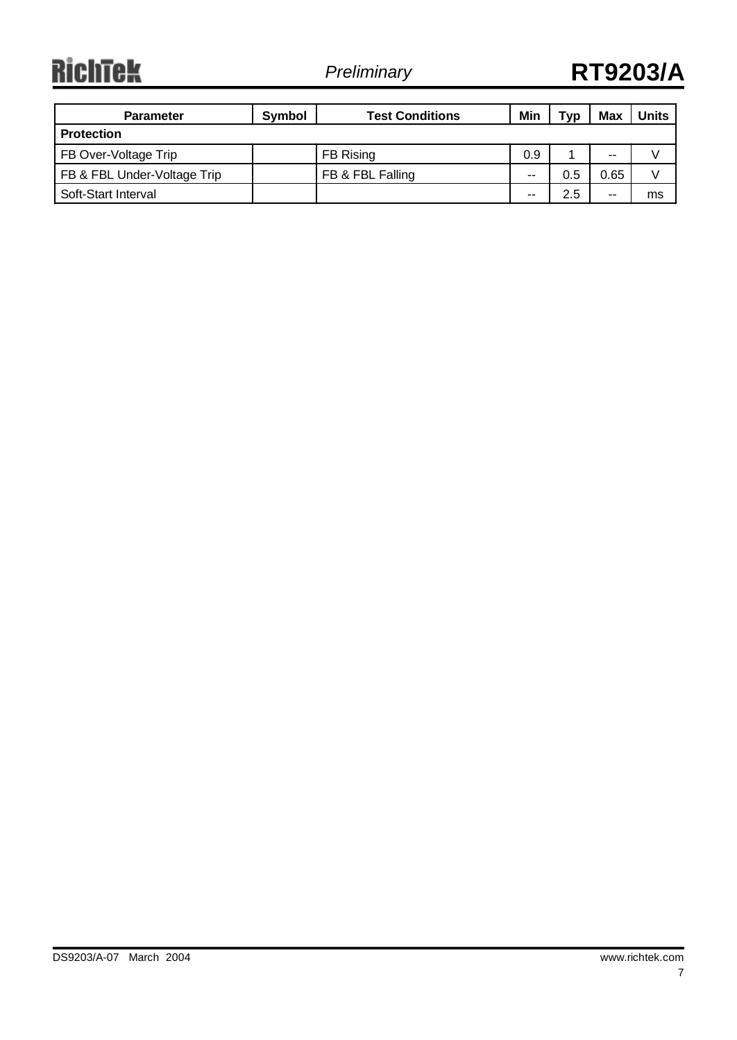**RichTek** 

| <b>Parameter</b>            | Symbol | <b>Test Conditions</b> | Min | Typ | Max  | <b>Units</b> |
|-----------------------------|--------|------------------------|-----|-----|------|--------------|
| <b>Protection</b>           |        |                        |     |     |      |              |
| FB Over-Voltage Trip        |        | FB Rising              | 0.9 |     | --   |              |
| FB & FBL Under-Voltage Trip |        | FB & FBL Falling       | $-$ | 0.5 | 0.65 |              |
| Soft-Start Interval         |        |                        | --  | 2.5 | --   | ms           |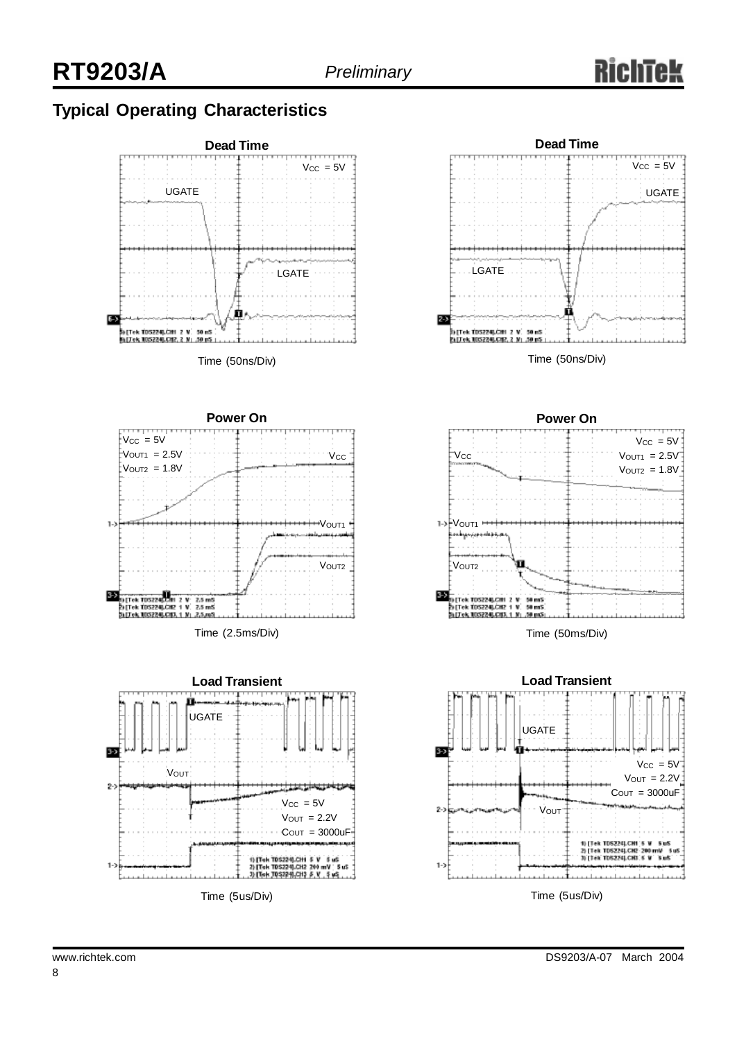## **Typical Operating Characteristics**





Time (2.5ms/Div)





Time (50ns/Div)



Time (50ms/Div)



Time (5us/Div)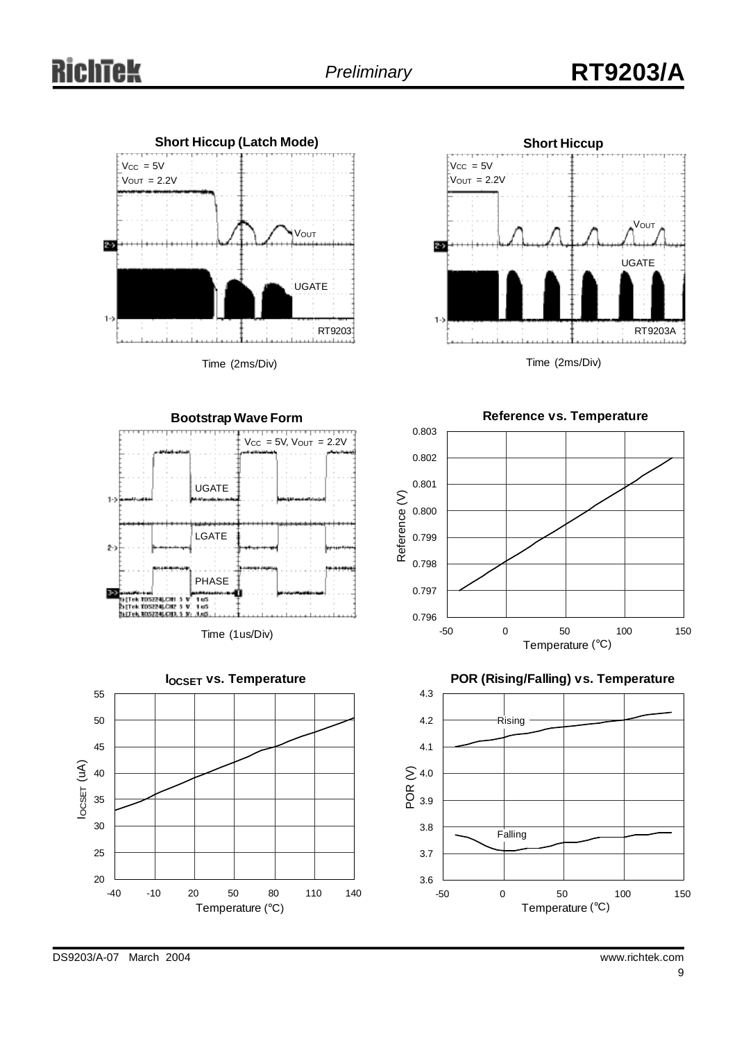

Time (2ms/Div)



Time (2ms/Div)

**Reference vs. Temperature**







0.796 0.797 0.798 0.799 0.800 0.801 0.802 -50 0 50 100 150 Temperature (°C) Reference (V)

0.803

**POR (Rising/Falling) vs. Temperature**

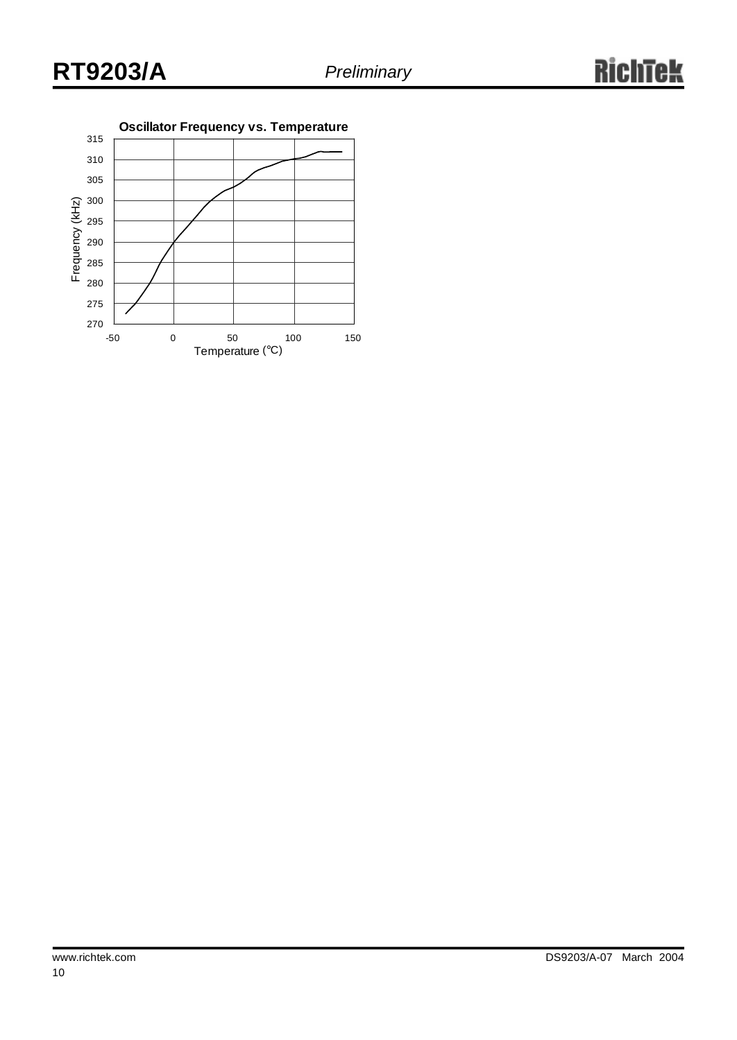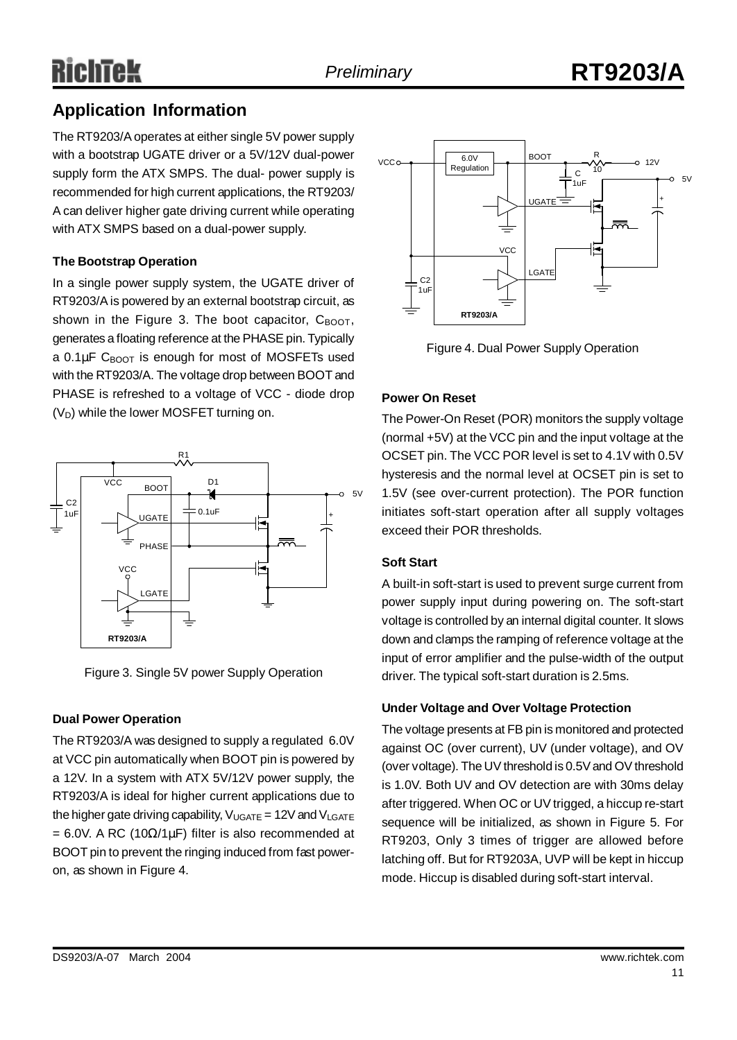# Richtek

## **Application Information**

The RT9203/Aoperates at either single 5V power supply with a bootstrap UGATE driver or a 5V/12V dual-power supply form the ATX SMPS. The dual- power supply is recommended for high current applications, the RT9203/ A can deliver higher gate driving current while operating with ATX SMPS based on a dual-power supply.

### **The Bootstrap Operation**

In a single power supply system, the UGATE driver of RT9203/Ais powered by an external bootstrap circuit, as shown in the Figure 3. The boot capacitor,  $C_{\text{BOOT}}$ , generates a floating reference at the PHASE pin. Typically a  $0.1 \mu$ F C<sub>BOOT</sub> is enough for most of MOSFETs used with the RT9203/A. The voltage drop between BOOT and PHASE is refreshed to a voltage of VCC - diode drop  $(V_D)$  while the lower MOSFET turning on.



Figure 3. Single 5V power Supply Operation

### **Dual Power Operation**

The RT9203/A was designed to supply a regulated 6.0V at VCC pin automatically when BOOT pin is powered by a 12V. In a system with ATX 5V/12V power supply, the RT9203/A is ideal for higher current applications due to the higher gate driving capability,  $V_{UGATE} = 12V$  and  $V_{LGATE}$ = 6.0V. A RC (10 $\Omega$ /1µF) filter is also recommended at BOOT pin to prevent the ringing induced from fast poweron, as shown in Figure 4.



Figure 4. Dual Power Supply Operation

### **Power On Reset**

The Power-On Reset (POR) monitors the supply voltage (normal +5V) at the VCC pin and the input voltage at the OCSET pin. The VCC POR level is set to 4.1V with 0.5V hysteresis and the normal level at OCSET pin is set to 1.5V (see over-current protection). The POR function initiates soft-start operation after all supply voltages exceed their POR thresholds.

### **Soft Start**

A built-in soft-start is used to prevent surge current from power supply input during powering on. The soft-start voltage is controlled by an internal digital counter. It slows down and clamps the ramping of reference voltage at the input of error amplifier and the pulse-width of the output driver. The typical soft-start duration is 2.5ms.

### **Under Voltage and Over Voltage Protection**

The voltage presents at FB pin is monitored and protected against OC (over current), UV (under voltage), and OV (over voltage). The UV threshold is 0.5V and OV threshold is 1.0V. Both UV and OV detection are with 30ms delay after triggered. When OC or UV trigged, a hiccup re-start sequence will be initialized, as shown in Figure 5. For RT9203, Only 3 times of trigger are allowed before latching off. But for RT9203A, UVP will be kept in hiccup mode. Hiccup is disabled during soft-start interval.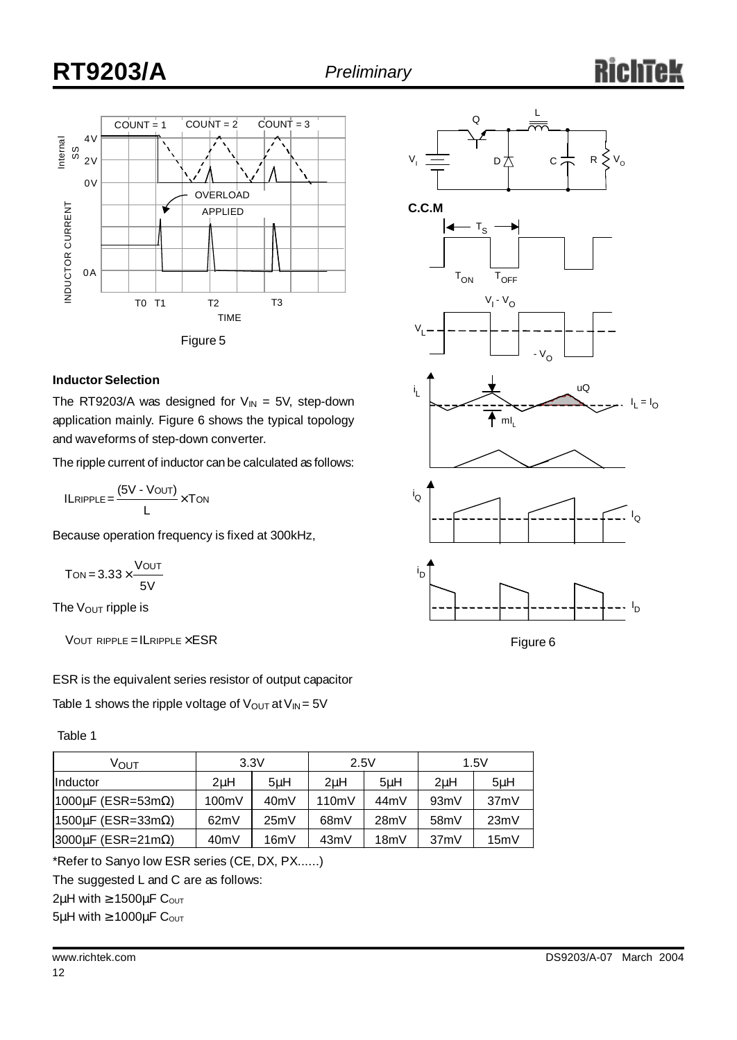## **RT9203/A** *Preliminary*



### **Inductor Selection**

The RT9203/A was designed for  $V_{IN} = 5V$ , step-down application mainly. Figure 6 shows the typical topology and waveforms of step-down converter.

The ripple current of inductor can be calculated as follows:

 $ILRIPPLE = \frac{(5V - VOUT)}{V} \times TON$ L

Because operation frequency is fixed at 300kHz,

 $T$ ON =  $3.33 \times \frac{V$ OUT 5V

The  $V_{\text{OUT}}$  ripple is

 $V$ OUT RIPPLE = ILRIPPLE  $\times$  ESR

ESR is the equivalent series resistor of output capacitor

Table 1 shows the ripple voltage of  $V_{OUT}$  at  $V_{IN} = 5V$ 

Table 1

| ∨ουτ                             | 3.3V             |      | 2.5V              |      | 1.5V              |         |
|----------------------------------|------------------|------|-------------------|------|-------------------|---------|
| <b>I</b> Inductor                | 2 <sub>u</sub> H | 5uH  | 2uH               | 5uH  | 2 <sub>u</sub> H  | $5\muH$ |
| $ 1000\mu$ F (ESR=53m $\Omega$ ) | 100mV            | 40mV | 110mV             | 44mV | 93mV              | 37mV    |
| $ 1500\mu$ F (ESR=33m $\Omega$ ) | 62mV             | 25mV | 68 <sub>m</sub> V | 28mV | 58 <sub>m</sub> V | 23mV    |
| $ 3000\mu$ F (ESR=21m $\Omega$ ) | 40mV             | 16mV | 43mV              | 18mV | 37mV              | 15mV    |

\*Refer to Sanyo low ESR series (CE, DX, PX......)

The suggested L and C are as follows:

 $2\mu$ H with  $\geq 1500\mu$ F C<sub>OUT</sub>

 $5\mu$ H with  $\geq 1000\mu$ F Cout











Figure 6

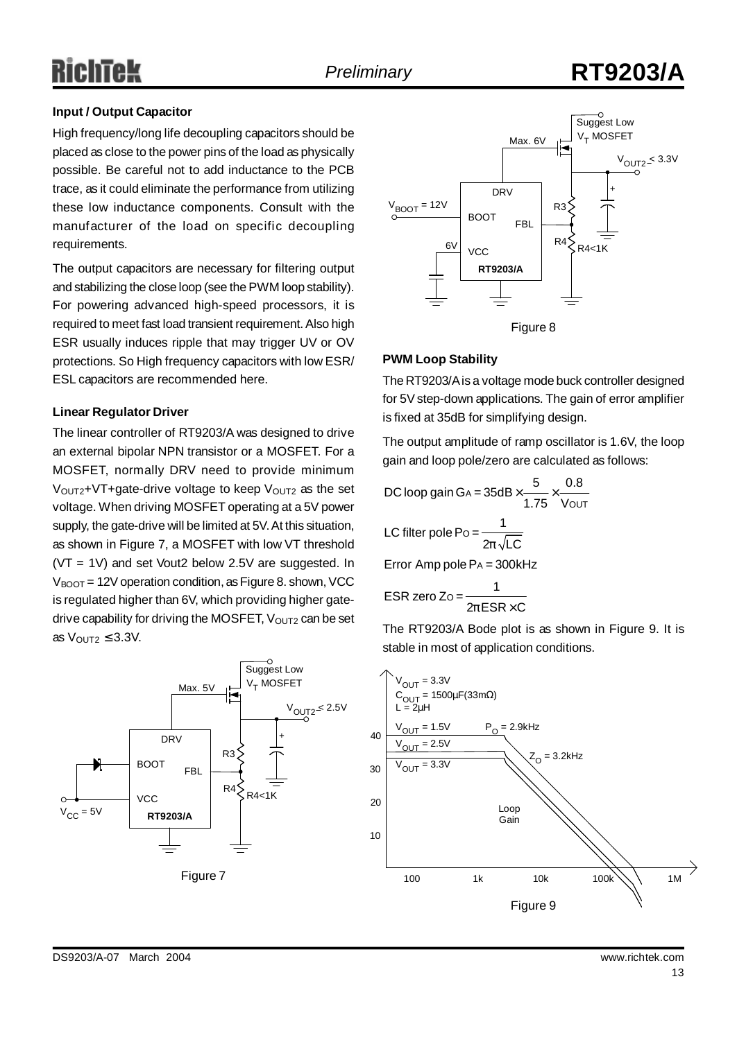## ichtek

## *Preliminary* **RT9203/A**

### **Input / Output Capacitor**

High frequency/long life decoupling capacitors should be placed as close to the power pins of the load as physically possible. Be careful not to add inductance to the PCB trace, as it could eliminate the performance from utilizing these low inductance components. Consult with the manufacturer of the load on specific decoupling requirements.

The output capacitors are necessary for filtering output and stabilizing the close loop (see the PWM loop stability). For powering advanced high-speed processors, it is required to meet fast load transient requirement. Also high ESR usually induces ripple that may trigger UV or OV protections. So High frequency capacitors with low ESR/ ESL capacitors are recommended here.

### **Linear Regulator Driver**

The linear controller of RT9203/A was designed to drive an external bipolar NPN transistor or a MOSFET. For a MOSFET, normally DRV need to provide minimum  $V_{\text{OUT2}}$ +VT+gate-drive voltage to keep  $V_{\text{OUT2}}$  as the set voltage. When driving MOSFET operating at a 5V power supply, the gate-drive will be limited at 5V.At this situation, as shown in Figure 7, a MOSFET with low VT threshold (VT = 1V) and set Vout2 below 2.5V are suggested. In  $V_{\text{BOOT}}$  = 12V operation condition, as Figure 8. shown, VCC is regulated higher than 6V, which providing higher gatedrive capability for driving the MOSFET,  $V_{OUT2}$  can be set as  $V_{\text{OUT2}} \leq 3.3V$ .





### **PWM Loop Stability**

The RT9203/Ais a voltage mode buck controller designed for 5V step-down applications. The gain of error amplifier is fixed at 35dB for simplifying design.

The output amplitude of ramp oscillator is 1.6V, the loop gain and loop pole/zero are calculated as follows:

DC loop gain GA = 
$$
35dB \times \frac{5}{1.75} \times \frac{0.8}{V_{OUT}}
$$
  
\nLC filter pole Po =  $\frac{1}{2p\sqrt{LC}}$   
\nError Amp pole Pa =  $300kHz$   
\nESR zero Zo =  $\frac{1}{2pESR \times C}$ 

The RT9203/A Bode plot is as shown in Figure 9. It is stable in most of application conditions.

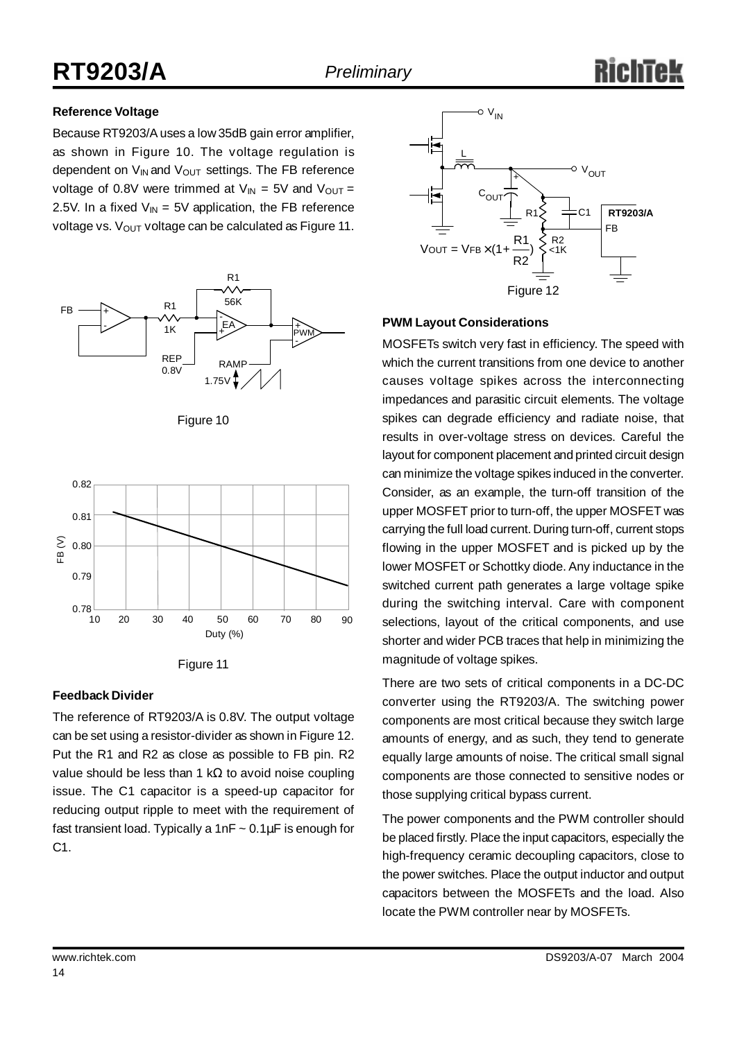### **Reference Voltage**

Because RT9203/Auses a low 35dB gain error amplifier, as shown in Figure 10. The voltage regulation is dependent on  $V_{IN}$  and  $V_{OUT}$  settings. The FB reference voltage of 0.8V were trimmed at  $V_{IN} = 5V$  and  $V_{OUT} =$ 2.5V. In a fixed  $V_{IN} = 5V$  application, the FB reference voltage vs.  $V_{\text{OUT}}$  voltage can be calculated as Figure 11.









#### **Feedback Divider**

The reference of RT9203/A is 0.8V. The output voltage can be set using a resistor-divider as shown in Figure 12. Put the R1 and R2 as close as possible to FB pin. R2 value should be less than 1 kΩ to avoid noise coupling issue. The C1 capacitor is a speed-up capacitor for reducing output ripple to meet with the requirement of fast transient load. Typically a 1nF  $\sim 0.1 \mu$ F is enough for C1.



### **PWM Layout Considerations**

MOSFETs switch very fast in efficiency. The speed with which the current transitions from one device to another causes voltage spikes across the interconnecting impedances and parasitic circuit elements. The voltage spikes can degrade efficiency and radiate noise, that results in over-voltage stress on devices. Careful the layout for component placement and printed circuit design can minimize the voltage spikes induced in the converter. Consider, as an example, the turn-off transition of the upper MOSFET prior to turn-off, the upper MOSFET was carrying the full load current. During turn-off, current stops flowing in the upper MOSFET and is picked up by the lower MOSFET or Schottky diode. Any inductance in the switched current path generates a large voltage spike during the switching interval. Care with component selections, layout of the critical components, and use shorter and wider PCB traces that help in minimizing the magnitude of voltage spikes.

There are two sets of critical components in a DC-DC converter using the RT9203/A. The switching power components are most critical because they switch large amounts of energy, and as such, they tend to generate equally large amounts of noise. The critical small signal components are those connected to sensitive nodes or those supplying critical bypass current.

The power components and the PWM controller should be placed firstly. Place the input capacitors, especially the high-frequency ceramic decoupling capacitors, close to the power switches. Place the output inductor and output capacitors between the MOSFETs and the load. Also locate the PWM controller near by MOSFETs.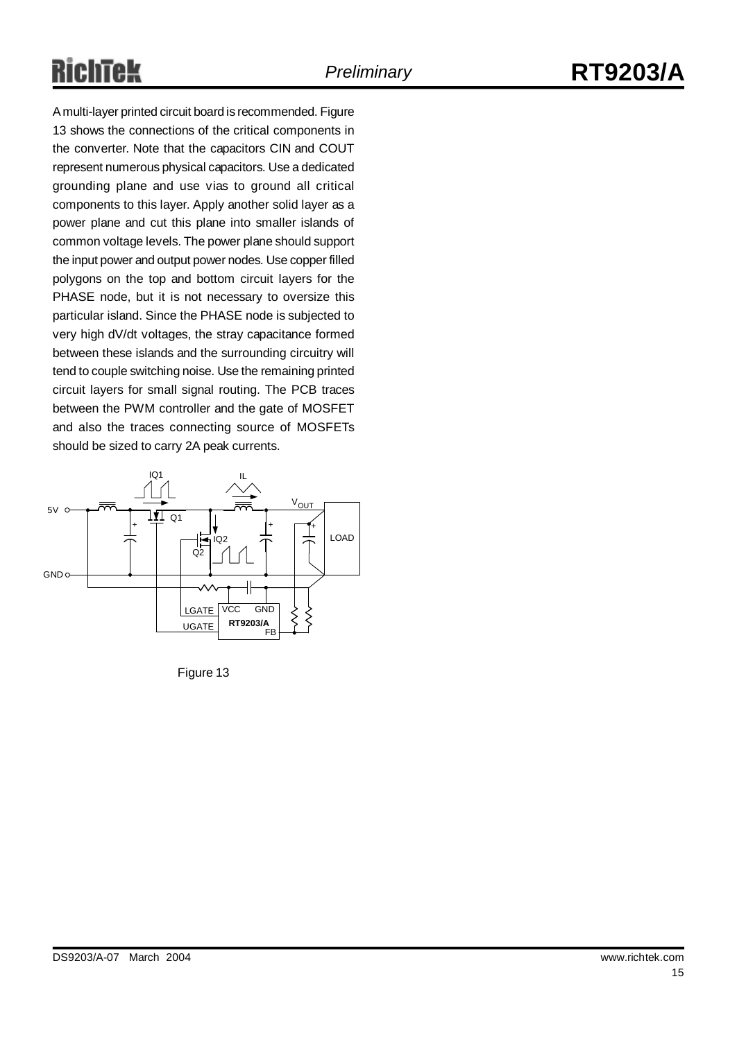# Richtek

A multi-layer printed circuit board is recommended. Figure 13 shows the connections of the critical components in the converter. Note that the capacitors CIN and COUT represent numerous physical capacitors. Use a dedicated grounding plane and use vias to ground all critical components to this layer. Apply another solid layer as a power plane and cut this plane into smaller islands of common voltage levels. The power plane should support the input power and output power nodes. Use copper filled polygons on the top and bottom circuit layers for the PHASE node, but it is not necessary to oversize this particular island. Since the PHASE node is subjected to very high dV/dt voltages, the stray capacitance formed between these islands and the surrounding circuitry will tend to couple switching noise. Use the remaining printed circuit layers for small signal routing. The PCB traces between the PWM controller and the gate of MOSFET and also the traces connecting source of MOSFETs should be sized to carry 2A peak currents.



Figure 13